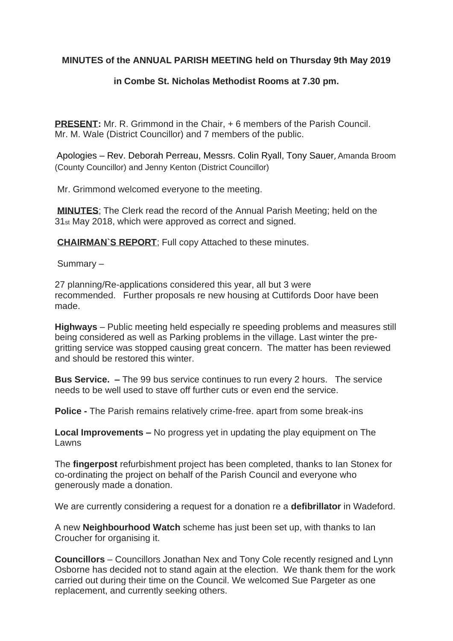## **MINUTES of the ANNUAL PARISH MEETING held on Thursday 9th May 2019**

## **in Combe St. Nicholas Methodist Rooms at 7.30 pm.**

**PRESENT:** Mr. R. Grimmond in the Chair, + 6 members of the Parish Council. Mr. M. Wale (District Councillor) and 7 members of the public.

Apologies – Rev. Deborah Perreau, Messrs. Colin Ryall, Tony Sauer, Amanda Broom (County Councillor) and Jenny Kenton (District Councillor)

Mr. Grimmond welcomed everyone to the meeting.

**MINUTES**; The Clerk read the record of the Annual Parish Meeting; held on the 31st May 2018, which were approved as correct and signed.

**CHAIRMAN`S REPORT**; Full copy Attached to these minutes.

Summary –

27 planning/Re-applications considered this year, all but 3 were recommended. Further proposals re new housing at Cuttifords Door have been made.

**Highways** – Public meeting held especially re speeding problems and measures still being considered as well as Parking problems in the village. Last winter the pregritting service was stopped causing great concern. The matter has been reviewed and should be restored this winter.

**Bus Service. –** The 99 bus service continues to run every 2 hours. The service needs to be well used to stave off further cuts or even end the service.

**Police -** The Parish remains relatively crime-free. apart from some break-ins

**Local Improvements –** No progress yet in updating the play equipment on The Lawns

The **fingerpost** refurbishment project has been completed, thanks to Ian Stonex for co-ordinating the project on behalf of the Parish Council and everyone who generously made a donation.

We are currently considering a request for a donation re a **defibrillator** in Wadeford.

A new **Neighbourhood Watch** scheme has just been set up, with thanks to Ian Croucher for organising it.

**Councillors** – Councillors Jonathan Nex and Tony Cole recently resigned and Lynn Osborne has decided not to stand again at the election. We thank them for the work carried out during their time on the Council. We welcomed Sue Pargeter as one replacement, and currently seeking others.